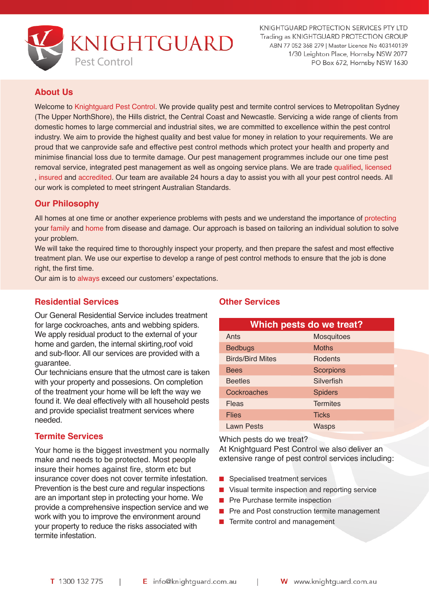

KNIGHTGUARD PROTECTION SERVICES PTY LTD Trading as KNIGHTGUARD PROTECTION GROUP ABN 77 052 368 279 | Master Licence No 403140139 1/30 Leighton Place, Hornsby NSW 2077 PO Box 672, Hornsby NSW 1630

## **About Us**

Welcome to Knightguard Pest Control. We provide quality pest and termite control services to Metropolitan Sydney (The Upper NorthShore), the Hills district, the Central Coast and Newcastle. Servicing a wide range of clients from domestic homes to large commercial and industrial sites, we are committed to excellence within the pest control industry. We aim to provide the highest quality and best value for money in relation to your requirements. We are proud that we canprovide safe and effective pest control methods which protect your health and property and minimise financial loss due to termite damage. Our pest management programmes include our one time pest removal service, integrated pest management as well as ongoing service plans. We are trade qualified, licensed , insured and accredited. Our team are available 24 hours a day to assist you with all your pest control needs. All our work is completed to meet stringent Australian Standards.

## **Our Philosophy**

All homes at one time or another experience problems with pests and we understand the importance of protecting your family and home from disease and damage. Our approach is based on tailoring an individual solution to solve your problem.

We will take the required time to thoroughly inspect your property, and then prepare the safest and most effective treatment plan. We use our expertise to develop a range of pest control methods to ensure that the job is done right, the first time.

Our aim is to always exceed our customers' expectations.

### **Residential Services**

Our General Residential Service includes treatment for large cockroaches, ants and webbing spiders. We apply residual product to the external of your home and garden, the internal skirting,roof void and sub-floor. All our services are provided with a guarantee.

Our technicians ensure that the utmost care is taken with your property and possesions. On completion of the treatment your home will be left the way we found it. We deal effectively with all household pests and provide specialist treatment services where needed.

### **Termite Services**

Your home is the biggest investment you normally make and needs to be protected. Most people insure their homes against fire, storm etc but insurance cover does not cover termite infestation. Prevention is the best cure and regular inspections are an important step in protecting your home. We provide a comprehensive inspection service and we work with you to improve the environment around your property to reduce the risks associated with termite infestation.

### **Other Services**

| Which pests do we treat? |                   |  |  |  |
|--------------------------|-------------------|--|--|--|
| Ants                     | <b>Mosquitoes</b> |  |  |  |
| <b>Bedbugs</b>           | <b>Moths</b>      |  |  |  |
| <b>Birds/Bird Mites</b>  | <b>Rodents</b>    |  |  |  |
| <b>Bees</b>              | <b>Scorpions</b>  |  |  |  |
| <b>Beetles</b>           | Silverfish        |  |  |  |
| Cockroaches              | <b>Spiders</b>    |  |  |  |
| Fleas                    | <b>Termites</b>   |  |  |  |
| <b>Flies</b>             | <b>Ticks</b>      |  |  |  |
| <b>Lawn Pests</b>        | <b>Wasps</b>      |  |  |  |

Which pests do we treat?

At Knightguard Pest Control we also deliver an extensive range of pest control services including:

- Specialised treatment services
- Visual termite inspection and reporting service
- Pre Purchase termite inspection
- Pre and Post construction termite management
- Termite control and management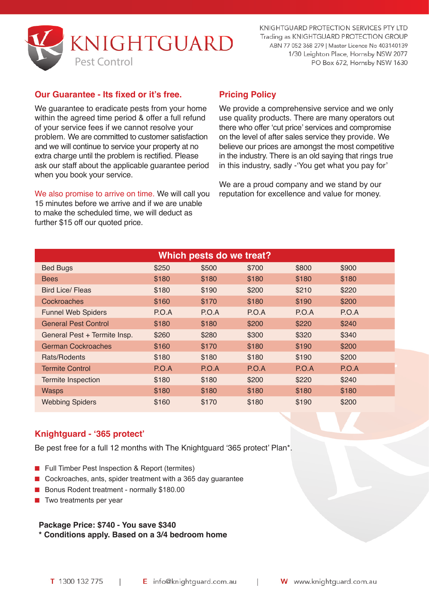

KNIGHTGUARD PROTECTION SERVICES PTY LTD Trading as KNIGHTGUARD PROTECTION GROUP ABN 77 052 368 279 | Master Licence No 403140139 1/30 Leighton Place, Hornsby NSW 2077 PO Box 672, Hornsby NSW 1630

### **Our Guarantee - Its fixed or it's free.**

We guarantee to eradicate pests from your home within the agreed time period & offer a full refund of your service fees if we cannot resolve your problem. We are committed to customer satisfaction and we will continue to service your property at no extra charge until the problem is rectified. Please ask our staff about the applicable guarantee period when you book your service.

We also promise to arrive on time. We will call you 15 minutes before we arrive and if we are unable to make the scheduled time, we will deduct as further \$15 off our quoted price.

## **Pricing Policy**

We provide a comprehensive service and we only use quality products. There are many operators out there who offer 'cut price' services and compromise on the level of after sales service they provide. We believe our prices are amongst the most competitive in the industry. There is an old saying that rings true in this industry, sadly -'You get what you pay for'

We are a proud company and we stand by our reputation for excellence and value for money.

| Which pests do we treat?     |       |       |       |       |       |  |  |
|------------------------------|-------|-------|-------|-------|-------|--|--|
| <b>Bed Bugs</b>              | \$250 | \$500 | \$700 | \$800 | \$900 |  |  |
| <b>Bees</b>                  | \$180 | \$180 | \$180 | \$180 | \$180 |  |  |
| <b>Bird Lice/ Fleas</b>      | \$180 | \$190 | \$200 | \$210 | \$220 |  |  |
| Cockroaches                  | \$160 | \$170 | \$180 | \$190 | \$200 |  |  |
| <b>Funnel Web Spiders</b>    | P.O.A | P.O.A | P.O.A | P.O.A | P.O.A |  |  |
| <b>General Pest Control</b>  | \$180 | \$180 | \$200 | \$220 | \$240 |  |  |
| General Pest + Termite Insp. | \$260 | \$280 | \$300 | \$320 | \$340 |  |  |
| <b>German Cockroaches</b>    | \$160 | \$170 | \$180 | \$190 | \$200 |  |  |
| Rats/Rodents                 | \$180 | \$180 | \$180 | \$190 | \$200 |  |  |
| <b>Termite Control</b>       | P.O.A | P.O.A | P.O.A | P.O.A | P.O.A |  |  |
| Termite Inspection           | \$180 | \$180 | \$200 | \$220 | \$240 |  |  |
| <b>Wasps</b>                 | \$180 | \$180 | \$180 | \$180 | \$180 |  |  |
| <b>Webbing Spiders</b>       | \$160 | \$170 | \$180 | \$190 | \$200 |  |  |

# **Knightguard - '365 protect'**

Be pest free for a full 12 months with The Knightguard '365 protect' Plan\*.

- Full Timber Pest Inspection & Report (termites)
- Cockroaches, ants, spider treatment with a 365 day quarantee
- Bonus Rodent treatment normally \$180.00
- Two treatments per year

#### **Package Price: \$740 - You save \$340 \* Conditions apply. Based on a 3/4 bedroom home**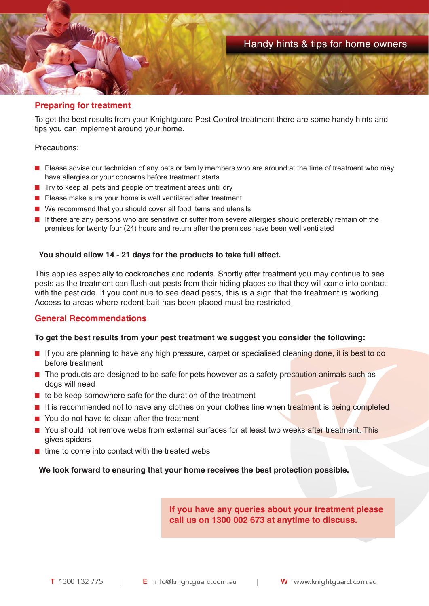

### **Preparing for treatment**

To get the best results from your Knightguard Pest Control treatment there are some handy hints and tips you can implement around your home.

#### Precautions:

- Please advise our technician of any pets or family members who are around at the time of treatment who may have allergies or your concerns before treatment starts
- Try to keep all pets and people off treatment areas until dry
- Please make sure your home is well ventilated after treatment
- We recommend that you should cover all food items and utensils
- If there are any persons who are sensitive or suffer from severe allergies should preferably remain off the premises for twenty four (24) hours and return after the premises have been well ventilated

#### **You should allow 14 - 21 days for the products to take full effect.**

This applies especially to cockroaches and rodents. Shortly after treatment you may continue to see pests as the treatment can flush out pests from their hiding places so that they will come into contact with the pesticide. If you continue to see dead pests, this is a sign that the treatment is working. Access to areas where rodent bait has been placed must be restricted.

### **General Recommendations**

#### **To get the best results from your pest treatment we suggest you consider the following:**

- If you are planning to have any high pressure, carpet or specialised cleaning done, it is best to do before treatment
- The products are designed to be safe for pets however as a safety precaution animals such as dogs will need
- to be keep somewhere safe for the duration of the treatment
- It is recommended not to have any clothes on your clothes line when treatment is being completed
- You do not have to clean after the treatment
- You should not remove webs from external surfaces for at least two weeks after treatment. This gives spiders
- time to come into contact with the treated webs

**We look forward to ensuring that your home receives the best protection possible.**

**If you have any queries about your treatment please call us on 1300 002 673 at anytime to discuss.**